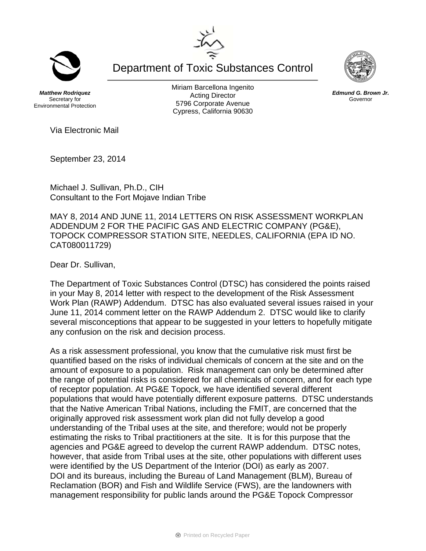Department of Toxic Substances Control

*Matthew Rodriquez*  Secretary for Environmental Protection Miriam Barcellona Ingenito Acting Director 5796 Corporate Avenue Cypress, California 90630

Via Electronic Mail

September 23, 2014

Michael J. Sullivan, Ph.D., CIH Consultant to the Fort Mojave Indian Tribe

MAY 8, 2014 AND JUNE 11, 2014 LETTERS ON RISK ASSESSMENT WORKPLAN ADDENDUM 2 FOR THE PACIFIC GAS AND ELECTRIC COMPANY (PG&E), TOPOCK COMPRESSOR STATION SITE, NEEDLES, CALIFORNIA (EPA ID NO. CAT080011729)

Dear Dr. Sullivan,

The Department of Toxic Substances Control (DTSC) has considered the points raised in your May 8, 2014 letter with respect to the development of the Risk Assessment Work Plan (RAWP) Addendum. DTSC has also evaluated several issues raised in your June 11, 2014 comment letter on the RAWP Addendum 2. DTSC would like to clarify several misconceptions that appear to be suggested in your letters to hopefully mitigate any confusion on the risk and decision process.

As a risk assessment professional, you know that the cumulative risk must first be quantified based on the risks of individual chemicals of concern at the site and on the amount of exposure to a population. Risk management can only be determined after the range of potential risks is considered for all chemicals of concern, and for each type of receptor population. At PG&E Topock, we have identified several different populations that would have potentially different exposure patterns. DTSC understands that the Native American Tribal Nations, including the FMIT, are concerned that the originally approved risk assessment work plan did not fully develop a good understanding of the Tribal uses at the site, and therefore; would not be properly estimating the risks to Tribal practitioners at the site. It is for this purpose that the agencies and PG&E agreed to develop the current RAWP addendum. DTSC notes, however, that aside from Tribal uses at the site, other populations with different uses were identified by the US Department of the Interior (DOI) as early as 2007. DOI and its bureaus, including the Bureau of Land Management (BLM), Bureau of Reclamation (BOR) and Fish and Wildlife Service (FWS), are the landowners with management responsibility for public lands around the PG&E Topock Compressor





*Edmund G. Brown Jr.*  Governor

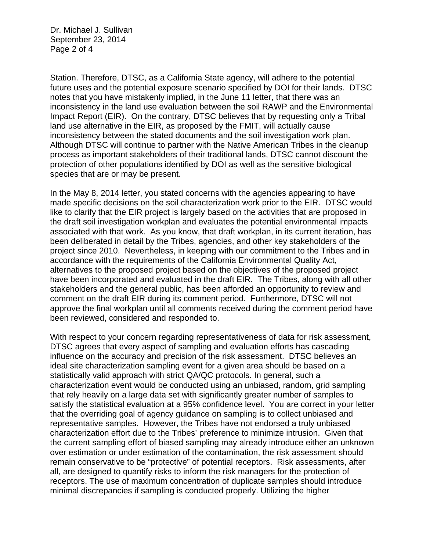Dr. Michael J. Sullivan September 23, 2014 Page 2 of 4

Station. Therefore, DTSC, as a California State agency, will adhere to the potential future uses and the potential exposure scenario specified by DOI for their lands. DTSC notes that you have mistakenly implied, in the June 11 letter, that there was an inconsistency in the land use evaluation between the soil RAWP and the Environmental Impact Report (EIR). On the contrary, DTSC believes that by requesting only a Tribal land use alternative in the EIR, as proposed by the FMIT, will actually cause inconsistency between the stated documents and the soil investigation work plan. Although DTSC will continue to partner with the Native American Tribes in the cleanup process as important stakeholders of their traditional lands, DTSC cannot discount the protection of other populations identified by DOI as well as the sensitive biological species that are or may be present.

In the May 8, 2014 letter, you stated concerns with the agencies appearing to have made specific decisions on the soil characterization work prior to the EIR. DTSC would like to clarify that the EIR project is largely based on the activities that are proposed in the draft soil investigation workplan and evaluates the potential environmental impacts associated with that work. As you know, that draft workplan, in its current iteration, has been deliberated in detail by the Tribes, agencies, and other key stakeholders of the project since 2010. Nevertheless, in keeping with our commitment to the Tribes and in accordance with the requirements of the California Environmental Quality Act, alternatives to the proposed project based on the objectives of the proposed project have been incorporated and evaluated in the draft EIR. The Tribes, along with all other stakeholders and the general public, has been afforded an opportunity to review and comment on the draft EIR during its comment period. Furthermore, DTSC will not approve the final workplan until all comments received during the comment period have been reviewed, considered and responded to.

With respect to your concern regarding representativeness of data for risk assessment, DTSC agrees that every aspect of sampling and evaluation efforts has cascading influence on the accuracy and precision of the risk assessment. DTSC believes an ideal site characterization sampling event for a given area should be based on a statistically valid approach with strict QA/QC protocols. In general, such a characterization event would be conducted using an unbiased, random, grid sampling that rely heavily on a large data set with significantly greater number of samples to satisfy the statistical evaluation at a 95% confidence level. You are correct in your letter that the overriding goal of agency guidance on sampling is to collect unbiased and representative samples. However, the Tribes have not endorsed a truly unbiased characterization effort due to the Tribes' preference to minimize intrusion. Given that the current sampling effort of biased sampling may already introduce either an unknown over estimation or under estimation of the contamination, the risk assessment should remain conservative to be "protective" of potential receptors. Risk assessments, after all, are designed to quantify risks to inform the risk managers for the protection of receptors. The use of maximum concentration of duplicate samples should introduce minimal discrepancies if sampling is conducted properly. Utilizing the higher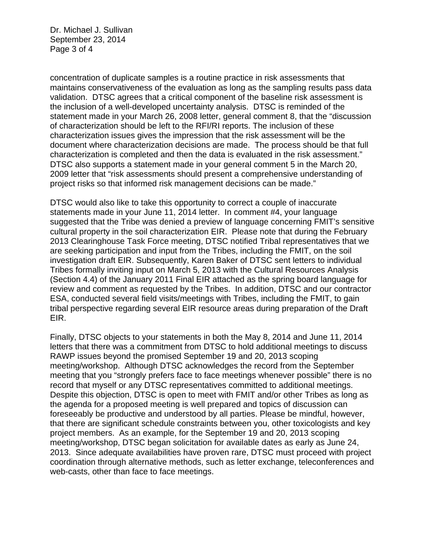Dr. Michael J. Sullivan September 23, 2014 Page 3 of 4

concentration of duplicate samples is a routine practice in risk assessments that maintains conservativeness of the evaluation as long as the sampling results pass data validation. DTSC agrees that a critical component of the baseline risk assessment is the inclusion of a well-developed uncertainty analysis. DTSC is reminded of the statement made in your March 26, 2008 letter, general comment 8, that the "discussion of characterization should be left to the RFI/RI reports. The inclusion of these characterization issues gives the impression that the risk assessment will be the document where characterization decisions are made. The process should be that full characterization is completed and then the data is evaluated in the risk assessment." DTSC also supports a statement made in your general comment 5 in the March 20, 2009 letter that "risk assessments should present a comprehensive understanding of project risks so that informed risk management decisions can be made."

DTSC would also like to take this opportunity to correct a couple of inaccurate statements made in your June 11, 2014 letter. In comment #4, your language suggested that the Tribe was denied a preview of language concerning FMIT's sensitive cultural property in the soil characterization EIR. Please note that during the February 2013 Clearinghouse Task Force meeting, DTSC notified Tribal representatives that we are seeking participation and input from the Tribes, including the FMIT, on the soil investigation draft EIR. Subsequently, Karen Baker of DTSC sent letters to individual Tribes formally inviting input on March 5, 2013 with the Cultural Resources Analysis (Section 4.4) of the January 2011 Final EIR attached as the spring board language for review and comment as requested by the Tribes. In addition, DTSC and our contractor ESA, conducted several field visits/meetings with Tribes, including the FMIT, to gain tribal perspective regarding several EIR resource areas during preparation of the Draft EIR.

Finally, DTSC objects to your statements in both the May 8, 2014 and June 11, 2014 letters that there was a commitment from DTSC to hold additional meetings to discuss RAWP issues beyond the promised September 19 and 20, 2013 scoping meeting/workshop. Although DTSC acknowledges the record from the September meeting that you "strongly prefers face to face meetings whenever possible" there is no record that myself or any DTSC representatives committed to additional meetings. Despite this objection, DTSC is open to meet with FMIT and/or other Tribes as long as the agenda for a proposed meeting is well prepared and topics of discussion can foreseeably be productive and understood by all parties. Please be mindful, however, that there are significant schedule constraints between you, other toxicologists and key project members. As an example, for the September 19 and 20, 2013 scoping meeting/workshop, DTSC began solicitation for available dates as early as June 24, 2013. Since adequate availabilities have proven rare, DTSC must proceed with project coordination through alternative methods, such as letter exchange, teleconferences and web-casts, other than face to face meetings.